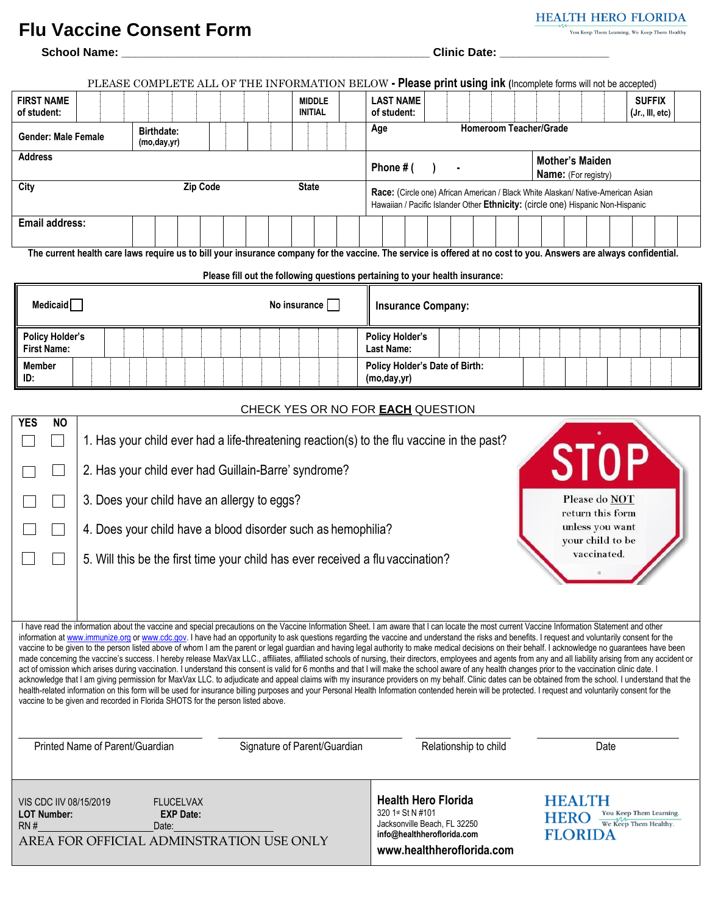#### **Flu Vaccine Consent Form**

**School Name: \_\_\_\_\_\_\_\_\_\_\_\_\_\_\_\_\_\_\_\_\_\_\_\_\_\_\_\_\_\_\_\_\_\_\_\_\_\_\_\_\_\_\_\_\_\_\_\_ Clinic Date: \_\_\_\_\_\_\_\_\_\_\_\_\_\_\_\_\_**

|                                                                                                 |                                                                                                                                                                     |                                    |                                      |                              |                                 | PLEASE COMPLETE ALL OF THE INFORMATION BELOW - Please print using ink (Incomplete forms will not be accepted)                                                                                                                                                                                                                                                                                                                                                                                                                                                                                                                                                                                                                                                                                                                                                                                                                                                                                                                                                                                                                                                                                                                                                                                                                                                                                                                                                                           |
|-------------------------------------------------------------------------------------------------|---------------------------------------------------------------------------------------------------------------------------------------------------------------------|------------------------------------|--------------------------------------|------------------------------|---------------------------------|-----------------------------------------------------------------------------------------------------------------------------------------------------------------------------------------------------------------------------------------------------------------------------------------------------------------------------------------------------------------------------------------------------------------------------------------------------------------------------------------------------------------------------------------------------------------------------------------------------------------------------------------------------------------------------------------------------------------------------------------------------------------------------------------------------------------------------------------------------------------------------------------------------------------------------------------------------------------------------------------------------------------------------------------------------------------------------------------------------------------------------------------------------------------------------------------------------------------------------------------------------------------------------------------------------------------------------------------------------------------------------------------------------------------------------------------------------------------------------------------|
| <b>FIRST NAME</b><br>of student:                                                                |                                                                                                                                                                     |                                    |                                      |                              | <b>MIDDLE</b><br><b>INITIAL</b> | <b>LAST NAME</b><br><b>SUFFIX</b><br>of student:<br>(Jr., III, etc)                                                                                                                                                                                                                                                                                                                                                                                                                                                                                                                                                                                                                                                                                                                                                                                                                                                                                                                                                                                                                                                                                                                                                                                                                                                                                                                                                                                                                     |
| <b>Gender: Male Female</b>                                                                      |                                                                                                                                                                     | <b>Birthdate:</b><br>(mo, day, yr) |                                      |                              |                                 | <b>Homeroom Teacher/Grade</b><br>Age                                                                                                                                                                                                                                                                                                                                                                                                                                                                                                                                                                                                                                                                                                                                                                                                                                                                                                                                                                                                                                                                                                                                                                                                                                                                                                                                                                                                                                                    |
| <b>Address</b>                                                                                  |                                                                                                                                                                     |                                    |                                      |                              |                                 | <b>Mother's Maiden</b><br>Phone # (<br>Name: (For registry)                                                                                                                                                                                                                                                                                                                                                                                                                                                                                                                                                                                                                                                                                                                                                                                                                                                                                                                                                                                                                                                                                                                                                                                                                                                                                                                                                                                                                             |
| City                                                                                            |                                                                                                                                                                     |                                    | <b>Zip Code</b>                      |                              | <b>State</b>                    | Race: (Circle one) African American / Black White Alaskan/ Native-American Asian<br>Hawaiian / Pacific Islander Other Ethnicity: (circle one) Hispanic Non-Hispanic                                                                                                                                                                                                                                                                                                                                                                                                                                                                                                                                                                                                                                                                                                                                                                                                                                                                                                                                                                                                                                                                                                                                                                                                                                                                                                                     |
| <b>Email address:</b>                                                                           |                                                                                                                                                                     |                                    |                                      |                              |                                 |                                                                                                                                                                                                                                                                                                                                                                                                                                                                                                                                                                                                                                                                                                                                                                                                                                                                                                                                                                                                                                                                                                                                                                                                                                                                                                                                                                                                                                                                                         |
|                                                                                                 |                                                                                                                                                                     |                                    |                                      |                              |                                 | The current health care laws require us to bill your insurance company for the vaccine. The service is offered at no cost to you. Answers are always confidential.                                                                                                                                                                                                                                                                                                                                                                                                                                                                                                                                                                                                                                                                                                                                                                                                                                                                                                                                                                                                                                                                                                                                                                                                                                                                                                                      |
| Medicaid $\Box$                                                                                 |                                                                                                                                                                     |                                    |                                      |                              | No insurance $\Box$             | Please fill out the following questions pertaining to your health insurance:<br><b>Insurance Company:</b>                                                                                                                                                                                                                                                                                                                                                                                                                                                                                                                                                                                                                                                                                                                                                                                                                                                                                                                                                                                                                                                                                                                                                                                                                                                                                                                                                                               |
| <b>Policy Holder's</b><br><b>First Name:</b>                                                    |                                                                                                                                                                     |                                    |                                      |                              |                                 | <b>Policy Holder's</b><br>Last Name:                                                                                                                                                                                                                                                                                                                                                                                                                                                                                                                                                                                                                                                                                                                                                                                                                                                                                                                                                                                                                                                                                                                                                                                                                                                                                                                                                                                                                                                    |
| <b>Member</b><br>ID:                                                                            |                                                                                                                                                                     |                                    |                                      |                              |                                 | Policy Holder's Date of Birth:<br>(mo, day, yr)                                                                                                                                                                                                                                                                                                                                                                                                                                                                                                                                                                                                                                                                                                                                                                                                                                                                                                                                                                                                                                                                                                                                                                                                                                                                                                                                                                                                                                         |
|                                                                                                 |                                                                                                                                                                     |                                    |                                      |                              |                                 | CHECK YES OR NO FOR <b>EACH</b> QUESTION                                                                                                                                                                                                                                                                                                                                                                                                                                                                                                                                                                                                                                                                                                                                                                                                                                                                                                                                                                                                                                                                                                                                                                                                                                                                                                                                                                                                                                                |
| <b>YES</b><br><b>NO</b>                                                                         | 2. Has your child ever had Guillain-Barre' syndrome?<br>3. Does your child have an allergy to eggs?<br>4. Does your child have a blood disorder such as hemophilia? |                                    |                                      |                              |                                 | 1. Has your child ever had a life-threatening reaction(s) to the flu vaccine in the past?<br><b>STOP</b><br>Please do NOT<br>return this form<br>unless you want<br>your child to be<br>vaccinated.<br>5. Will this be the first time your child has ever received a flu vaccination?                                                                                                                                                                                                                                                                                                                                                                                                                                                                                                                                                                                                                                                                                                                                                                                                                                                                                                                                                                                                                                                                                                                                                                                                   |
| vaccine to be given and recorded in Florida SHOTS for the person listed above.                  | Printed Name of Parent/Guardian                                                                                                                                     |                                    |                                      | Signature of Parent/Guardian |                                 | I have read the information about the vaccine and special precautions on the Vaccine Information Sheet. I am aware that I can locate the most current Vaccine Information Statement and other<br>information at www.immunize.org or www.cdc.gov. I have had an opportunity to ask questions regarding the vaccine and understand the risks and benefits. I request and voluntarily consent for the<br>vaccine to be given to the person listed above of whom I am the parent or legal guardian and having legal authority to make medical decisions on their behalf. I acknowledge no guarantees have been<br>made concerning the vaccine's success. I hereby release MaxVax LLC., affiliates, affiliated schools of nursing, their directors, employees and agents from any and all liability arising from any accident or<br>act of omission which arises during vaccination. I understand this consent is valid for 6 months and that I will make the school aware of any health changes prior to the vaccination clinic date. I<br>acknowledge that I am giving permission for MaxVax LLC. to adjudicate and appeal claims with my insurance providers on my behalf. Clinic dates can be obtained from the school. I understand that the<br>health-related information on this form will be used for insurance billing purposes and your Personal Health Information contended herein will be protected. I request and voluntarily consent for the<br>Relationship to child<br>Date |
|                                                                                                 |                                                                                                                                                                     |                                    |                                      |                              |                                 |                                                                                                                                                                                                                                                                                                                                                                                                                                                                                                                                                                                                                                                                                                                                                                                                                                                                                                                                                                                                                                                                                                                                                                                                                                                                                                                                                                                                                                                                                         |
| VIS CDC IIV 08/15/2019<br><b>LOT Number:</b><br>RN#<br>AREA FOR OFFICIAL ADMINSTRATION USE ONLY |                                                                                                                                                                     | Date:                              | <b>FLUCELVAX</b><br><b>EXP Date:</b> |                              |                                 | <b>Health Hero Florida</b><br><b>HEALTH</b><br>320 1st St N #101<br>HERO You Keep Them Learning.<br>Jacksonville Beach, FL 32250<br><b>FLORIDA</b><br>info@healthheroflorida.com<br>www.healthheroflorida.com                                                                                                                                                                                                                                                                                                                                                                                                                                                                                                                                                                                                                                                                                                                                                                                                                                                                                                                                                                                                                                                                                                                                                                                                                                                                           |